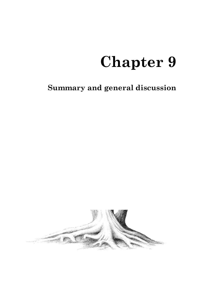# **Summary and general discussion**

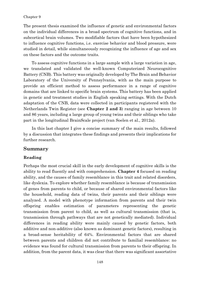The present thesis examined the influence of genetic and environmental factors on the individual differences in a broad spectrum of cognitive functions, and in subcortical brain volumes. Two modifiable factors that have been hypothesized to influence cognitive functions, i.e. exercise behavior and blood pressure, were studied in detail, while simultaneously recognizing the influence of age and sex on these factors and the outcome traits.

To assess cognitive functions in a large sample with a large variation in age, we translated and validated the well-known Computerized Neurocognitive Battery (CNB). This battery was originally developed by The Brain and Behavior Laboratory of the University of Pennsylvania, with as the main purpose to provide an efficient method to assess performance in a range of cognitive domains that are linked to specific brain systems. This battery has been applied in genetic and treatment studies in English speaking settings. With the Dutch adaptation of the CNB, data were collected in participants registered with the Netherlands Twin Register (see **Chapter 2 and 3**) ranging in age between 10 and 86 years, including a large group of young twins and their siblings who take part in the longitudinal BrainScale project (van Soelen et al., 2012a).

In this last chapter I give a concise summary of the main results, followed by a discussion that integrates these findings and presents their implications for further research.

# **Summary**

# **Reading**

Perhaps the most crucial skill in the early development of cognitive skills is the ability to read fluently and with comprehension. **Chapter 4** focused on reading ability, and the causes of family resemblance in this trait and related disorders, like dyslexia. To explore whether family resemblance is because of transmission of genes from parents to child, or because of shared environmental factors like the household, reading data of twins, their parents and their siblings were analyzed. A model with phenotype information from parents and their twin offspring enables estimation of parameters representing the genetic transmission from parent to child, as well as cultural transmission (that is, transmission through pathways that are not genetically mediated). Individual differences in reading ability were mainly caused by genetic factors, both additive and non-additive (also known as dominant genetic factors), resulting in a broad-sense heritability of 64%. Environmental factors that are shared between parents and children did not contribute to familial resemblance: no evidence was found for cultural transmission from parents to their offspring. In addition, from the parent data, it was clear that there was significant assortative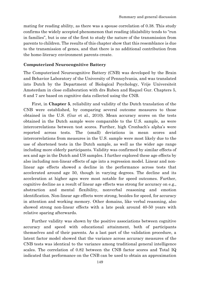mating for reading ability, as there was a spouse correlation of 0.38. This study confirms the widely accepted phenomenon that reading (dis)ability tends to "run in families", but is one of the first to study the nature of the transmission from parents to children. The results of this chapter show that this resemblance is due to the transmission of genes, and that there is no additional contribution from the home-literacy environment parents create.

# **Computerized Neurocognitive Battery**

The Computerized Neurocognitive Battery (CNB) was developed by the Brain and Behavior Laboratory of the University of Pennsylvania, and was translated into Dutch by the Department of Biological Psychology, Vrije Universiteit Amsterdam in close collaboration with drs Ruben and Raquel Gur. Chapters 5, 6 and 7 are based on cognitive data collected using the CNB.

First, in **Chapter 5**, reliability and validity of the Dutch translation of the CNB were established, by comparing several outcome measures to those obtained in the U.S. (Gur et al., 2010). Mean accuracy scores on the tests obtained in the Dutch sample were comparable to the U.S. sample, as were intercorrelations between test scores. Further, high Cronbach's alpha's were reported across tests. The (small) deviations in mean scores and intercorrelations from measures in the U.S. sample were most likely due to the use of shortened tests in the Dutch sample, as well as the wider age range including more elderly participants. Validity was confirmed by similar effects of sex and age in the Dutch and US samples. I further explored these age effects by also including non-linear effects of age into a regression model. Linear and nonlinear age effects showed a decline in the performance across tests that accelerated around age 50, though in varying degrees. The decline and its acceleration at higher ages were most notable for speed outcomes. Further, cognitive decline as a result of linear age effects was strong for accuracy on e.g., abstraction and mental flexibility, nonverbal reasoning and emotion identification. Non-linear age effects were strong, besides for speed, for accuracy in attention and working memory. Other domains, like verbal reasoning, also showed strong non-linear effects with a late peak around 40-50 years with relative sparing afterwards.

Further validity was shown by the positive associations between cognitive accuracy and speed with educational attainment, both of participants themselves and of their parents. As a last part of the validation procedure, a latent factor model showed that the variance across accuracy measures of the CNB tests was identical to the variance among traditional general intelligence scales. The correlation of 0.82 between the CNB factor scores and Total IQ indicated that performance on the CNB can be used to obtain an approximation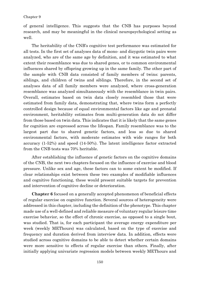of general intelligence. This suggests that the CNB has purposes beyond research, and may be meaningful in the clinical neuropsychological setting as well.

The heritability of the CNB's cognitive test performance was estimated for all tests. In the first set of analyses data of mono- and dizygotic twin pairs were analyzed, who are of the same age by definition, and it was estimated to what extent their resemblance was due to shared genes, or to common environmental influences shared by offspring growing up in the same family. The other part of the sample with CNB data consisted of family members of twins: parents, siblings, and children of twins and siblings. Therefore, in the second set of analyses data of all family members were analyzed, where cross-generation resemblance was analyzed simultaneously with the resemblance in twin pairs. Overall, estimates based on twin data closely resembled those that were estimated from family data, demonstrating that, where twins form a perfectly controlled design because of equal environmental factors like age and prenatal environment, heritability estimates from multi-generation data do not differ from those based on twin data. This indicates that it is likely that the same genes for cognition are expressed across the lifespan. Family resemblance was to the largest part due to shared genetic factors, and less so due to shared environmental factors, with moderate estimates with wide ranges for both accuracy (1-52%) and speed (14-50%). The latent intelligence factor extracted from the CNB tests was 70% heritable.

After establishing the influence of genetic factors on the cognitive domains of the CNB, the next two chapters focused on the influence of exercise and blood pressure. Unlike sex and age, these factors can to some extent be modified. If clear relationships exist between these two examples of modifiable influences and cognitive functioning, these would present suitable targets for prevention and intervention of cognitive decline or deterioration.

**Chapter 6** focused on a generally accepted phenomenon of beneficial effects of regular exercise on cognitive function. Several sources of heterogeneity were addressed in this chapter, including the definition of the phenotype. This chapter made use of a well-defined and reliable measure of voluntary regular leisure time exercise behavior, so the effect of chronic exercise, as opposed to a single bout, was studied. That is, for each participant the average energy expenditure per week (weekly METhours) was calculated, based on the type of exercise and frequency and duration derived from interview data. In addition, effects were studied across cognitive domains to be able to detect whether certain domains were more sensitive to effects of regular exercise than others. Finally, after initially applying univariate regression models between weekly METhours and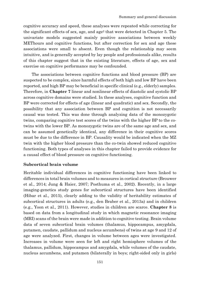cognitive accuracy and speed, these analyses were repeated while correcting for the significant effects of sex, age, and age<sup>2</sup> that were detected in Chapter 5. The univariate models suggested mainly positive associations between weekly METhours and cognitive functions, but after correction for sex and age these associations were small to absent. Even though the relationship may seem intuitive, and is generally accepted by lay people and professionals alike, results of this chapter suggest that in the existing literature, effects of age, sex and exercise on cognitive performance may be confounded.

The associations between cognitive functions and blood pressure (BP) are suspected to be complex, since harmful effects of both high and low BP have been reported, and high BP may be beneficial in specific clinical (e.g., elderly) samples. Therefore, in **Chapter 7** linear and nonlinear effects of diastolic and systolic BP across cognitive domains were studied. In these analyses, cognitive function and BP were corrected for effects of age (linear and quadratic) and sex. Secondly, the possibility that any association between BP and cognition is not necessarily causal was tested. This was done through analyzing data of the monozygotic twins, comparing cognitive test scores of the twins with the higher BP to the cotwins with the lower BP. As monozygotic twins are of the same age and sex, and can be assumed genetically identical, any difference in their cognitive scores must be due to the difference in BP. Causality would be indicated when the MZ twin with the higher blood pressure than the co-twin showed reduced cognitive functioning. Both types of analyses in this chapter failed to provide evidence for a causal effect of blood pressure on cognitive functioning.

# **Subcortical brain volume**

Heritable individual differences in cognitive functioning have been linked to differences in total brain volumes and to measures in cortical structure (Brouwer et al., 2014; Jung & Haier, 2007; Posthuma et al., 2002). Recently, in a large imaging-genetics study genes for subcortical structures have been identified (Hibar et al., 2015), clearly adding to the validity of heritability estimates of subcortical structures in adults (e.g., den Braber et al., 2013a) and in children (e.g., Yoon et al., 2011). However, studies in children are scarce. **Chapter 8** is based on data from a longitudinal study in which magnetic resonance imaging (MRI) scans of the brain were made in addition to cognitive testing. Brain volume data of seven subcortical brain volumes (thalamus, hippocampus, amygdala, putamen, caudate, pallidum and nucleus accumbens) of twins at age 9 and 12 of age were analyzed. First, changes in volume between ages were investigated. Increases in volume were seen for left and right hemisphere volumes of the thalamus, pallidum, hippocampus and amygdala, while volumes of the caudate, nucleus accumbens, and putamen (bilaterally in boys; right-sided only in girls)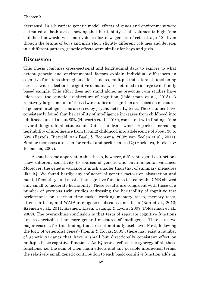decreased. In a bivariate genetic model, effects of genes and environment were estimated at both ages, showing that heritability of all volumes is high from childhood onwards with no evidence for new genetic effects at age 12. Even though the brains of boys and girls show slightly different volumes and develop in a different pattern, genetic effects were similar for boys and girls.

# **Discussion**

This thesis combines cross-sectional and longitudinal data to explore to what extent genetic and environmental factors explain individual differences in cognitive functions throughout life. To do so, multiple indicators of functioning across a wide selection of cognitive domains were obtained in a large twin-family based sample. This effort does not stand alone, as previous twin studies have addressed the genetic architecture of cognition (Polderman et al., 2015). A relatively large amount of these twin studies on cognition are based on measures of general intelligence, as assessed by psychometric IQ tests. These studies have consistently found that heritability of intelligence increases from childhood into adulthood, up till about 80% (Haworth et al., 2010), consistent with findings from several longitudinal studies in Dutch children, which reported increasing heritability of intelligence from (young) childhood into adolescence of about 30 to 60% (Bartels, Rietveld, van Baal, & Boomsma, 2002; van Soelen et al., 2011). Similar increases are seen for verbal and performance IQ (Hoekstra, Bartels, & Boomsma, 2007).

As has become apparent in this thesis, however, different cognitive functions show different sensitivity to sources of genetic and environmental variance. Moreover, the genetic variance is much smaller than that of summary measures like IQ. We found hardly any influence of genetic factors on abstraction and mental flexibility, and most other cognitive functions tested by the CNB showed only small to moderate heritability. These results are congruent with those of a number of previous twin studies addressing the heritability of cognitive test performance on reaction time tasks, working memory tasks, memory tests, attention tests, and WAIS-intelligence subscales and -tests (Kan et al., 2013; Kremen et al., 2011; Kremen, Eisen, Tsuang, & Lyons, 2007; Polderman et al., 2009). The overarching conclusion is that tests of separate cognitive functions are less heritable than more general measures of intelligence. There are two major reasons for this finding that are not mutually exclusive. First, following the logic of 'generalist genes' (Plomin & Kovas, 2005), there may exist a number of genetic variants that have a small but directionally consistent effect on multiple basic cognitive functions. As IQ scores reflect the synergy of all these functions, i.e. the sum of their main effects and any possible interaction terms, the relatively small genetic contribution to each basic cognitive function adds up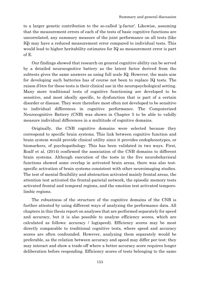to a larger genetic contribution to the so-called 'g-factor'. Likewise, assuming that the measurement errors of each of the tests of basic cognitive functions are uncorrelated, any summary measure of the joint performance on all tests (like IQ) may have a reduced measurement error compared to individual tests. This would lead to higher heritability estimates for IQ as measurement error is part of E.

Our findings showed that research on general cognitive ability can be served by a detailed neurocognitive battery as the latent factor derived from the subtests gives the same answers as using full scale IQ. However, the main aim for developing such batteries has of course not been to replace IQ tests. The raison d'être for these tests is their clinical use in the neuropsychological setting. Many more traditional tests of cognitive functioning are developed to be sensitive, and most ideally specific, to dysfunction that is part of a certain disorder or disease. They were therefore most often not developed to be sensitive to individual differences in cognitive performance. The Computerized Neurocognitive Battery (CNB) was shown in Chapter 5 to be able to validly measure individual differences in a multitude of cognitive domains.

Originally, the CNB cognitive domains were selected because they correspond to specific brain systems. This link between cognitive function and brain system would provide clinical utility since it provides endophenotypes, or biomarkers, of psychopathology. This has been validated in two ways. First, Roalf et al. (2014) confirmed the association of the CNB domains to different brain systems. Although execution of the tests in the five neurobehavioral functions showed some overlap in activated brain areas, there was also testspecific activation of brain systems consistent with other neuroimaging studies. The test of mental flexibility and abstraction activated mainly frontal areas, the attention test activated the frontal-parietal network, the episodic memory tests activated frontal and temporal regions, and the emotion test activated temporolimbic regions.

The robustness of the structure of the cognitive domains of the CNB is further attested by using different ways of analyzing the performance data. All chapters in this thesis report on analyses that are performed separately for speed and accuracy, but it is also possible to analyze efficiency scores, which are calculated as follows: accuracy / log(speed). Efficiency scores may be most directly comparable to traditional cognitive tests, where speed and accuracy scores are often confounded. However, analyzing them separately would be preferable, as the relation between accuracy and speed may differ per test: they may interact and show a trade-off where a better accuracy score requires longer deliberation before responding. Efficiency scores of tests belonging to the same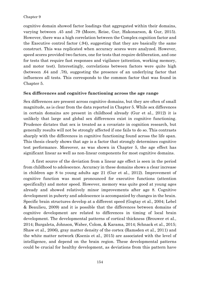cognitive domain showed factor loadings that aggregated within their domains, varying between .45 and .79 (Moore, Reise, Gur, Hakonarson, & Gur, 2015). However, there was a high correlation between the Complex cognition factor and the Executive control factor (.94), suggesting that they are basically the same construct. This was replicated when accuracy scores were analyzed. However, speed scores provided two factors, one for tests that require deliberation, and one for tests that require fast responses and vigilance (attention, working memory, and motor test). Interestingly, correlations between factors were quite high (between .64 and .78), suggesting the presence of an underlying factor that influences all tests. This corresponds to the common factor that was found in Chapter 5.

## **Sex differences and cognitive functioning across the age range**

Sex differences are present across cognitive domains, but they are often of small magnitude, as is clear from the data reported in Chapter 5. While sex differences in certain domains are present in childhood already (Gur et al., 2012) it is unlikely that large and global sex differences exist in cognitive functioning. Prudence dictates that sex is treated as a covariate in cognition research, but generally results will not be strongly affected if one fails to do so. This contrasts sharply with the differences in cognitive functioning found across the life span. This thesis clearly shows that age is a factor that strongly determines cognitive test performance. Moreover, as was shown in Chapter 5, the age effect has significant linear as well as non-linear components for most cognitive domains.

A first source of the deviation from a linear age effect is seen in the period from childhood to adolescence. Accuracy in these domains shows a clear increase in children age 8 to young adults age 21 (Gur et al., 2012). Improvement of cognitive function was most pronounced for executive functions (attention specifically) and motor speed. However, memory was quite good at young ages already and showed relatively minor improvements after age 8. Cognitive development in puberty and adolescence is accompanied by changes in the brain. Specific brain structures develop at a different speed (Gogtay et al., 2004; Lebel & Beaulieu, 2009) and it is possible that the differences between domains of cognitive development are related to differences in timing of local brain development. The developmental patterns of cortical thickness (Brouwer et al., 2014; Burgaleta, Johnson, Waber, Colom, & Karama, 2014; Schnack et al., 2015; Shaw et al., 2006), gray matter density of the cortex (Ramsden et al., 2011) and the white matter network (Koenis et al., 2015) are associated with the level of intelligence, and depend on the brain region. These developmental patterns could be crucial for healthy development, as deviations from this pattern have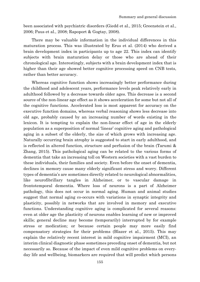been associated with psychiatric disorders (Giedd et al., 2015; Greenstein et al., 2006; Paus et al., 2008; Rapoport & Gogtay, 2008).

There may be valuable information in the individual differences in this maturation process. This was illustrated by Erus et al. (2014) who derived a brain development index in participants up to age 22. This index can identify subjects with brain maturation delay or those who are ahead of their chronological age. Interestingly, subjects with a brain development index that is higher than their age showed better cognitive processing speed on CNB tests, rather than better accuracy.

Whereas cognitive function shows increasingly better performance during the childhood and adolescent years, performance levels peak relatively early in adulthood followed by a decrease towards older ages. This decrease is a second source of the non-linear age effect as it shows acceleration for some but not all of the cognitive functions. Accelerated loss is most apparent for accuracy on the executive function domains, whereas verbal reasoning shows less decrease into old age, probably caused by an increasing number of words existing in the lexicon. It is tempting to explain the non-linear effect of age in the elderly population as a superposition of normal 'linear' cognitive aging and pathological aging in a subset of the elderly, the size of which grows with increasing age. Naturally occurring brain atrophy is suggested to start in early adulthood, and is reflected in altered function, structure and perfusion of the brain (Tarumi & Zhang, 2015). This pathological aging can be related to the various forms of dementia that take an increasing toll on Western societies with a vast burden to these individuals, their families and society. Even before the onset of dementia, declines in memory cause many elderly significant stress and worry. Different types of dementia's are sometimes directly related to neurological abnormalities, like neurofibrillary tangles in Alzheimer, or to vascular damage in frontotemporal dementia. Where loss of neurons is a part of Alzheimer pathology, this does not occur in normal aging. Human and animal studies suggest that normal aging co-occurs with variations in synaptic integrity and plasticity, possibly in networks that are involved in memory and executive functions. Understanding cognitive aging is complicated for several reasons: even at older age the plasticity of neurons enables learning of new or improved skills; general decline may become (temporarily) interrupted by for example stress or medication; or because certain people may more easily find compensatory strategies for their problems (Blazer et al., 2015). This may explain the relatively recent interest in mild cognitive impairment (MCI), an interim clinical diagnostic phase sometimes preceding onset of dementia, but not necessarily so. Because of the impact of even mild cognitive problems on everyday life and wellbeing, biomarkers are required that will predict which persons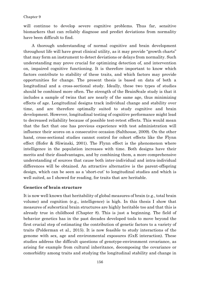will continue to develop severe cognitive problems. Thus far, sensitive biomarkers that can reliably diagnose and predict deviations from normality have been difficult to find.

A thorough understanding of normal cognitive and brain development throughout life will have great clinical utility, as it may provide "growth charts" that may form an instrument to detect deviations or delays from normality. Such understanding may prove crucial for optimizing detection of, and intervention on, impaired cognitive functioning. It is therefore important to know which factors contribute to stability of these traits, and which factors may provide opportunities for change. The present thesis is based on data of both a longitudinal and a cross-sectional study. Ideally, these two types of studies should be combined more often. The strength of the BrainScale study is that it includes a sample of twins that are nearly of the same age, thus minimizing effects of age. Longitudinal designs track individual change and stability over time, and are therefore optimally suited to study cognitive and brain development. However, longitudinal testing of cognitive performance might lead to decreased reliability because of possible test-retest effects. This would mean that the fact that one has previous experience with test administration will influence their scores on a consecutive occasion (Salthouse, 2009). On the other hand, cross-sectional studies cannot control for cohort effects like the Flynn effect (Hofer & Sliwinski, 2001). The Flynn effect is the phenomenon where intelligence in the population increases with time. Both designs have their merits and their disadvantages, and by combining them, a more comprehensive understanding of sources that cause both inter-individual and intra-individual differences will be obtained. An attractive alternative is the parent-offspring design, which can be seen as a 'short-cut' to longitudinal studies and which is well suited, as I showed for reading, for traits that are heritable.

# **Genetics of brain structure**

It is now well known that heritability of global measures of brain (e.g., total brain volume) and cognition (e.g., intelligence) is high. In this thesis I show that measures of subcortical brain structures are highly heritable too and that this is already true in childhood (Chapter 8). This is just a beginning. The field of behavior genetics has in the past decades developed tools to move beyond the first crucial step of estimating the contribution of genetic factors to a variety of traits (Polderman et al., 2015). It is now feasible to study interactions of the genome with sex, age and environmental exposures (GxE interaction). These studies address the difficult questions of genotype-environment covariance, as arising for example from cultural inheritance, decomposing the covariance or comorbidity among traits and studying the longitudinal stability and change in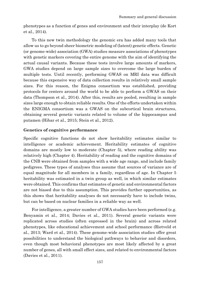phenotypes as a function of genes and environment and their interplay (de Kort et al., 2014).

To this new twin methodology the genomic era has added many tools that allow us to go beyond sheer biometric modeling of (latent) genetic effects. Genetic (or genome-wide) association (GWA) studies measure associations of phenotypes with genetic markers covering the entire genome with the aim of identifying the actual causal variants. Because these tests involve large amounts of markers, GWA studies depend on large sample sizes to overcome the large burden of multiple tests. Until recently, performing GWAS on MRI data was difficult because this expensive way of data collection results in relatively small sample sizes. For this reason, the Enigma consortium was established, providing protocols for centers around the world to be able to perform a GWAS on their data (Thompson et al., 2014). After this, results are pooled, resulting in sample sizes large enough to obtain reliable results. One of the efforts undertaken within the ENIGMA consortium was a GWAS on the subcortical brain structures, obtaining several genetic variants related to volume of the hippocampus and putamen (Hibar et al., 2015; Stein et al., 2012).

# **Genetics of cognitive performance**

Specific cognitive functions do not show heritability estimates similar to intelligence or academic achievement. Heritability estimates of cognitive domains are mostly low to moderate (Chapter 5), where reading ability was relatively high (Chapter 4). Heritability of reading and the cognitive domains of the CNB were obtained from samples with a wide age range, and include family pedigrees. These types of analyses thus assume that sources of variance are of equal magnitude for all members in a family, regardless of age. In Chapter 5 heritability was estimated in a twin group as well, in which similar estimates were obtained. This confirms that estimates of genetic and environmental factors are not biased due to this assumption. This provides further opportunities, as this shows that heritability analyses do not necessarily have to include twins, but can be based on nuclear families in a reliable way as well.

For intelligence, a greater number of GWA studies have been performed (e.g. Benyamin et al., 2014; Davies et al., 2011). Several genetic variants were replicated across studies (often expressed in the brain) and across related phenotypes, like educational achievement and school performance (Rietveld et al., 2013; Ward et al., 2014). These genome-wide association studies offer great possibilities to understand the biological pathways to behavior and disorders, even though most behavioral phenotypes are most likely affected by a great number of genes, all with small effect sizes, and related to environmental factors (Davies et al., 2011).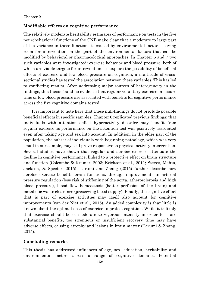# **Modifiable effects on cognitive performance**

The relatively moderate heritability estimates of performance on tests in the five neurobehavioral functions of the CNB make clear that a moderate to large part of the variance in these functions is caused by environmental factors, leaving room for intervention on the part of the environmental factors that can be modified by behavioral or pharmacological approaches. In Chapter 6 and 7 two such variables were investigated: exercise behavior and blood pressure, both of which are viable targets for intervention. To explore the possibility of beneficial effects of exercise and low blood pressure on cognition, a multitude of crosssectional studies has tested the association between these variables. This has led to conflicting results. After addressing major sources of heterogeneity in the findings, this thesis found no evidence that regular voluntary exercise in leisure time or low blood pressure are associated with benefits for cognitive performance across the five cognitive domains tested.

It is important to note here that these null-findings do not preclude possible beneficial effects in specific samples. Chapter 6 replicated previous findings: that individuals with attention deficit hyperactivity disorder may benefit from regular exercise as performance on the attention test was positively associated even after taking age and sex into account. In addition, in the elder part of the population, the subset of individuals with beginning pathology, which was very small in our sample, may still prove responsive to physical activity intervention. Several studies have shown that regular and aerobic exercise attenuate the decline in cognitive performance, linked to a protective effect on brain structure and function (Colcombe & Kramer, 2003; Erickson et al., 2011; Steves, Mehta, Jackson, & Spector, 2015). Tarumi and Zhang (2015) further describe how aerobic exercise benefits brain functions, through improvements in arterial pressure regulation (less risk of stiffening of the aorta, atherosclerosis and high blood pressure), blood flow homeostasis (better perfusion of the brain) and metabolic waste clearance (preserving blood supply). Finally, the cognitive effort that is part of exercise activities may itself also account for cognitive improvements (van der Niet et al., 2015). An added complexity is that little is known about the optimal dose of exercise to protect cognition. While it is likely that exercise should be of moderate to vigorous intensity in order to cause substantial benefits, too strenuous or insufficient recovery time may have adverse effects, causing atrophy and lesions in brain matter (Tarumi & Zhang, 2015).

# **Concluding remarks**

This thesis has addressed influences of age, sex, education, heritability and environmental factors across a range of cognitive domains. Potential